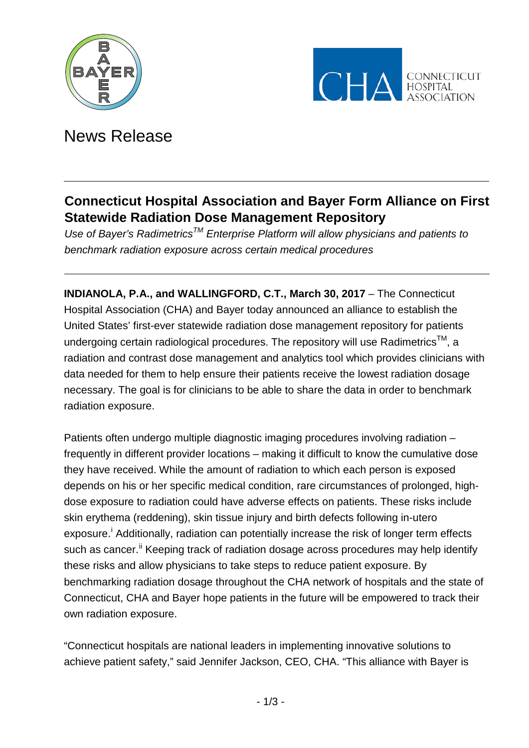



# News Release

# **Connecticut Hospital Association and Bayer Form Alliance on First Statewide Radiation Dose Management Repository**

*Use of Bayer's RadimetricsTM Enterprise Platform will allow physicians and patients to benchmark radiation exposure across certain medical procedures*

**INDIANOLA, P.A., and WALLINGFORD, C.T., March 30, 2017** – The Connecticut Hospital Association (CHA) and Bayer today announced an alliance to establish the United States' first-ever statewide radiation dose management repository for patients undergoing certain radiological procedures. The repository will use Radimetrics<sup>TM</sup>, a radiation and contrast dose management and analytics tool which provides clinicians with data needed for them to help ensure their patients receive the lowest radiation dosage necessary. The goal is for clinicians to be able to share the data in order to benchmark radiation exposure.

Patients often undergo multiple diagnostic imaging procedures involving radiation – frequently in different provider locations – making it difficult to know the cumulative dose they have received. While the amount of radiation to which each person is exposed depends on his or her specific medical condition, rare circumstances of prolonged, highdose exposure to radiation could have adverse effects on patients. These risks include skin erythema (reddening), skin tissue injury and birth defects following in-utero exposure.<sup>[i](#page-2-0)</sup> Additionally, radiation can potentially increase the risk of longer term effects such as cancer.<sup>[ii](#page-2-1)</sup> Keeping track of radiation dosage across procedures may help identify these risks and allow physicians to take steps to reduce patient exposure. By benchmarking radiation dosage throughout the CHA network of hospitals and the state of Connecticut, CHA and Bayer hope patients in the future will be empowered to track their own radiation exposure.

"Connecticut hospitals are national leaders in implementing innovative solutions to achieve patient safety," said Jennifer Jackson, CEO, CHA. "This alliance with Bayer is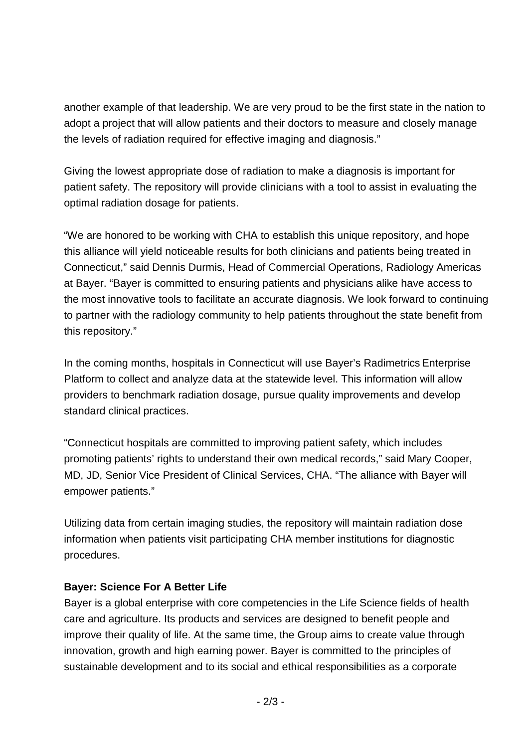another example of that leadership. We are very proud to be the first state in the nation to adopt a project that will allow patients and their doctors to measure and closely manage the levels of radiation required for effective imaging and diagnosis."

Giving the lowest appropriate dose of radiation to make a diagnosis is important for patient safety. The repository will provide clinicians with a tool to assist in evaluating the optimal radiation dosage for patients.

"We are honored to be working with CHA to establish this unique repository, and hope this alliance will yield noticeable results for both clinicians and patients being treated in Connecticut," said Dennis Durmis, Head of Commercial Operations, Radiology Americas at Bayer. "Bayer is committed to ensuring patients and physicians alike have access to the most innovative tools to facilitate an accurate diagnosis. We look forward to continuing to partner with the radiology community to help patients throughout the state benefit from this repository."

In the coming months, hospitals in Connecticut will use Bayer's Radimetrics Enterprise Platform to collect and analyze data at the statewide level. This information will allow providers to benchmark radiation dosage, pursue quality improvements and develop standard clinical practices.

"Connecticut hospitals are committed to improving patient safety, which includes promoting patients' rights to understand their own medical records," said Mary Cooper, MD, JD, Senior Vice President of Clinical Services, CHA. "The alliance with Bayer will empower patients."

Utilizing data from certain imaging studies, the repository will maintain radiation dose information when patients visit participating CHA member institutions for diagnostic procedures.

# **Bayer: Science For A Better Life**

Bayer is a global enterprise with core competencies in the Life Science fields of health care and agriculture. Its products and services are designed to benefit people and improve their quality of life. At the same time, the Group aims to create value through innovation, growth and high earning power. Bayer is committed to the principles of sustainable development and to its social and ethical responsibilities as a corporate